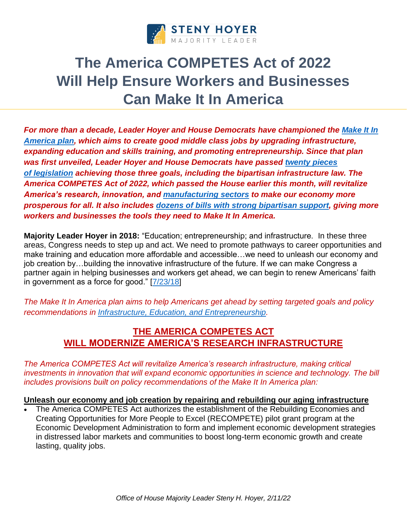

# **The America COMPETES Act of 2022 Will Help Ensure Workers and Businesses Can Make It In America**

*For more than a decade, Leader Hoyer and House Democrats have championed the [Make It In](https://www.majorityleader.gov/content/house-democrats-remain-committed-ensuring-workers-and-families-can-make-it-america)  [America plan,](https://www.majorityleader.gov/content/house-democrats-remain-committed-ensuring-workers-and-families-can-make-it-america) which aims to create good middle class jobs by upgrading infrastructure, expanding education and skills training, and promoting entrepreneurship. Since that plan was first unveiled, Leader Hoyer and House Democrats have passed [twenty pieces](https://www.majorityleader.gov/sites/democraticwhip.house.gov/files/MIIA%20Enacted%20Laws%2011%2013%2017.pdf)  of [legislation](https://www.majorityleader.gov/sites/democraticwhip.house.gov/files/MIIA%20Enacted%20Laws%2011%2013%2017.pdf) achieving those three goals, including the bipartisan infrastructure law. The America COMPETES Act of 2022, which passed the House earlier this month, will revitalize America's research, innovation, and [manufacturing sectors](https://www.majorityleader.gov/content/america-competes-act-will-turbocharge-american-manufacturing-creating-good-paying-jobs-and) to make our economy more prosperous for all. It also includes [dozens of bills with strong bipartisan support,](https://www.majorityleader.gov/content/america-competes-act-includes-bipartisan-priorities-will-make-america%E2%80%99s-economy-more) giving more workers and businesses the tools they need to Make It In America.*

**Majority Leader Hoyer in 2018:** "Education; entrepreneurship; and infrastructure. In these three areas, Congress needs to step up and act. We need to promote pathways to career opportunities and make training and education more affordable and accessible…we need to unleash our economy and job creation by…building the innovative infrastructure of the future. If we can make Congress a partner again in helping businesses and workers get ahead, we can begin to renew Americans' faith in government as a force for good." [\[7/23/18\]](https://www.majorityleader.gov/content/hoyer-delivers-speech-announcing-house-democrats%E2%80%99-updated-make-it-america-plan)

*The Make It In America plan aims to help Americans get ahead by setting targeted goals and policy recommendations in [Infrastructure, Education, and Entrepreneurship.](https://www.majorityleader.gov/content/house-democrats-remain-committed-ensuring-workers-and-families-can-make-it-america)* 

## **THE AMERICA COMPETES ACT WILL MODERNIZE AMERICA'S RESEARCH INFRASTRUCTURE**

*The America COMPETES Act will revitalize America's research infrastructure, making critical investments in innovation that will expand economic opportunities in science and technology. The bill includes provisions built on policy recommendations of the Make It In America plan:*

#### **Unleash our economy and job creation by repairing and rebuilding our aging infrastructure**

• The America COMPETES Act authorizes the establishment of the Rebuilding Economies and Creating Opportunities for More People to Excel (RECOMPETE) pilot grant program at the Economic Development Administration to form and implement economic development strategies in distressed labor markets and communities to boost long-term economic growth and create lasting, quality jobs.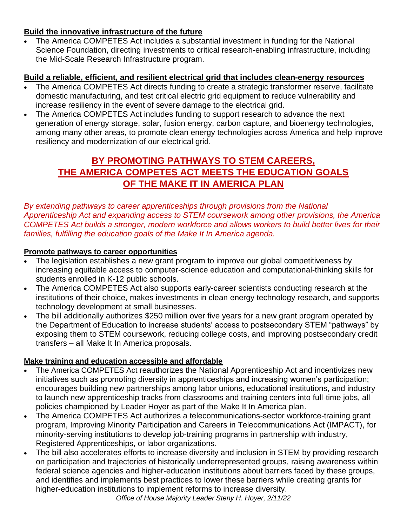## **Build the innovative infrastructure of the future**

• The America COMPETES Act includes a substantial investment in funding for the National Science Foundation, directing investments to critical research-enabling infrastructure, including the Mid-Scale Research Infrastructure program.

## **Build a reliable, efficient, and resilient electrical grid that includes clean-energy resources**

- The America COMPETES Act directs funding to create a strategic transformer reserve, facilitate domestic manufacturing, and test critical electric grid equipment to reduce vulnerability and increase resiliency in the event of severe damage to the electrical grid.
- The America COMPETES Act includes funding to support research to advance the next generation of energy storage, solar, fusion energy, carbon capture, and bioenergy technologies, among many other areas, to promote clean energy technologies across America and help improve resiliency and modernization of our electrical grid.

# **BY PROMOTING PATHWAYS TO STEM CAREERS, THE AMERICA COMPETES ACT MEETS THE EDUCATION GOALS OF THE MAKE IT IN AMERICA PLAN**

*By extending pathways to career apprenticeships through provisions from the National Apprenticeship Act and expanding access to STEM coursework among other provisions, the America COMPETES Act builds a stronger, modern workforce and allows workers to build better lives for their families, fulfilling the education goals of the Make It In America agenda.* 

### **Promote pathways to career opportunities**

- The legislation establishes a new grant program to improve our global competitiveness by increasing equitable access to computer-science education and computational-thinking skills for students enrolled in K-12 public schools.
- The America COMPETES Act also supports early-career scientists conducting research at the institutions of their choice, makes investments in clean energy technology research, and supports technology development at small businesses.
- The bill additionally authorizes \$250 million over five years for a new grant program operated by the Department of Education to increase students' access to postsecondary STEM "pathways" by exposing them to STEM coursework, reducing college costs, and improving postsecondary credit transfers – all Make It In America proposals.

### **Make training and education accessible and affordable**

- The America COMPETES Act reauthorizes the National Apprenticeship Act and incentivizes new initiatives such as promoting diversity in apprenticeships and increasing women's participation; encourages building new partnerships among labor unions, educational institutions, and industry to launch new apprenticeship tracks from classrooms and training centers into full-time jobs, all policies championed by Leader Hoyer as part of the Make It In America plan.
- The America COMPETES Act authorizes a telecommunications-sector workforce-training grant program, Improving Minority Participation and Careers in Telecommunications Act (IMPACT), for minority-serving institutions to develop job-training programs in partnership with industry, Registered Apprenticeships, or labor organizations.
- The bill also accelerates efforts to increase diversity and inclusion in STEM by providing research on participation and trajectories of historically underrepresented groups, raising awareness within federal science agencies and higher-education institutions about barriers faced by these groups, and identifies and implements best practices to lower these barriers while creating grants for higher-education institutions to implement reforms to increase diversity.